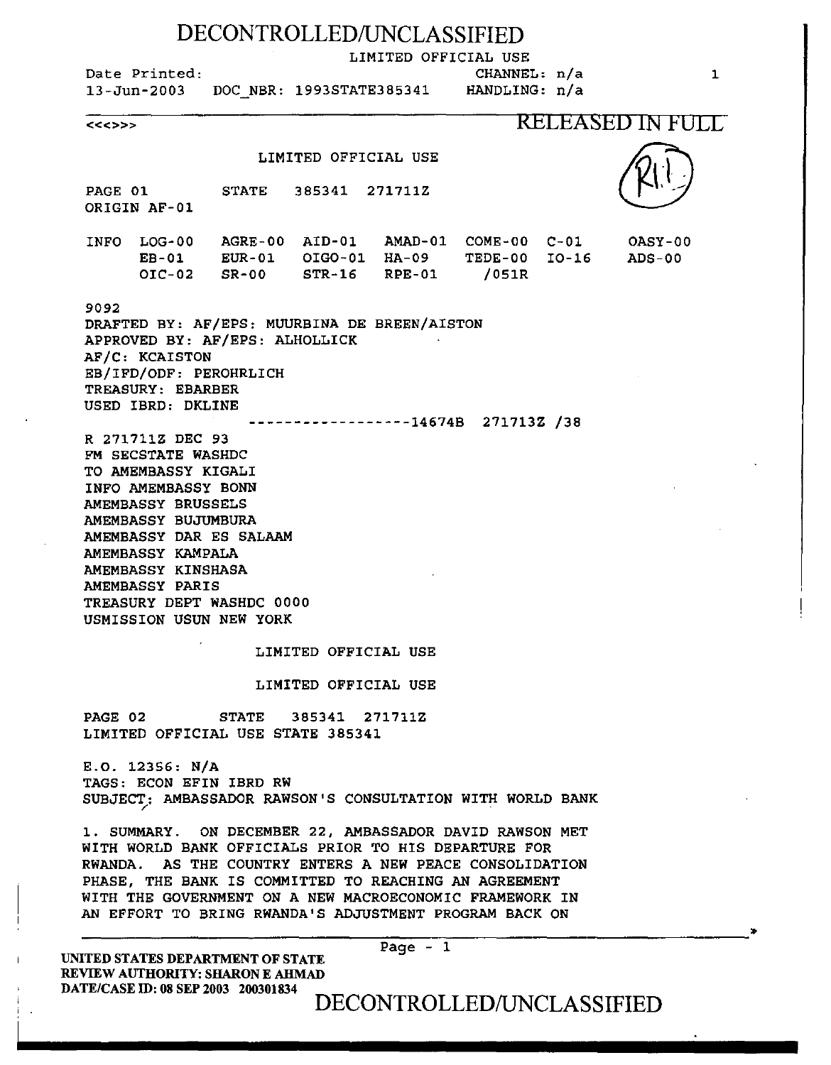## DECONTROLLED/UNCLASSIFIED

LIMITED OFFICIAL USE

CHANNEL: n/a

Date Printed:

13-Jun-2003 DOC NBR: 1993STATE385341

HANDLING: n/a

<<<>>> RELEASED IN FULL

### LIMITED OFFICIAL USE

PAGE 01 ORIGIN AF-01 STATE 385341 271711Z

INFO LOG-00 AGRE-00 AID-01 AMAD-01 COME-00 C-Ol EB-01 OIC-02 EUR-01 OIG0-01 SR-00 STR-16 HA-09 TEDE-00 I0-16 RPE-01 /051R

### 9092

DRAFTED BY: AF/EPS: MUURBINA DE BREEN/AISTON APPROVED BY: AF/EPS: ALHOLLICK AF/C: KCAISTON EB/IFD/ODF: PEROHRLICH TREASURY: EBARBER USED IBRD: DKLINE

------------------14674B 271713Z /38

R 271711Z DEC 93 FM SECSTATE WASHDC TO AMEMBASSY KIGALI INFO AMEMBASSY BONN AMEMBASSY BRUSSELS AMEMBASSY BUJUMBURA AMEMBASSY DAR ES SALAAM AMEMBASSY KAMPALA AMEMBASSY KINSHASA AMEMBASSY PARIS TREASURY DEPT WASHDC 0000 USMISSION USUN NEW YORK

#### LIMITED OFFICIAL USE

### LIMITED OFFICIAL USE

PAGE 02 STATE 385341 271711Z LIMITED OFFICIAL USE STATE 385341

E.O. 12356: N/A TAGS: ECON EFIN IBRD RW SUBJECT: AMBASSADOR RAWSON'S CONSULTATION WITH WORLD BANK

1. SUMMARY. ON DECEMBER 22, AMBASSADOR DAVID RAWSON MET WITH WORLD BANK OFFICIALS PRIOR TO HIS DEPARTURE FOR RWANDA. AS THE COUNTRY ENTERS A NEW PEACE CONSOLIDATION PHASE, THE BANK IS COMMITTED TO REACHING AN AGREEMENT WITH THE GOVERNMENT ON A NEW MACROECONOMIC FRAMEWORK IN AN EFFORT TO BRING RWANDA'S ADJUSTMENT PROGRAM BACK ON

Page - 1

UNITED STATES DEPARTMENT OF STATE REVIEW AUTHORITY: SHARON E AHMAD DATE/CASE ID: 08 SEP 2003 200301834

## DECONTROLLED/UNCLASSIFIED

OASY-00 ADS-00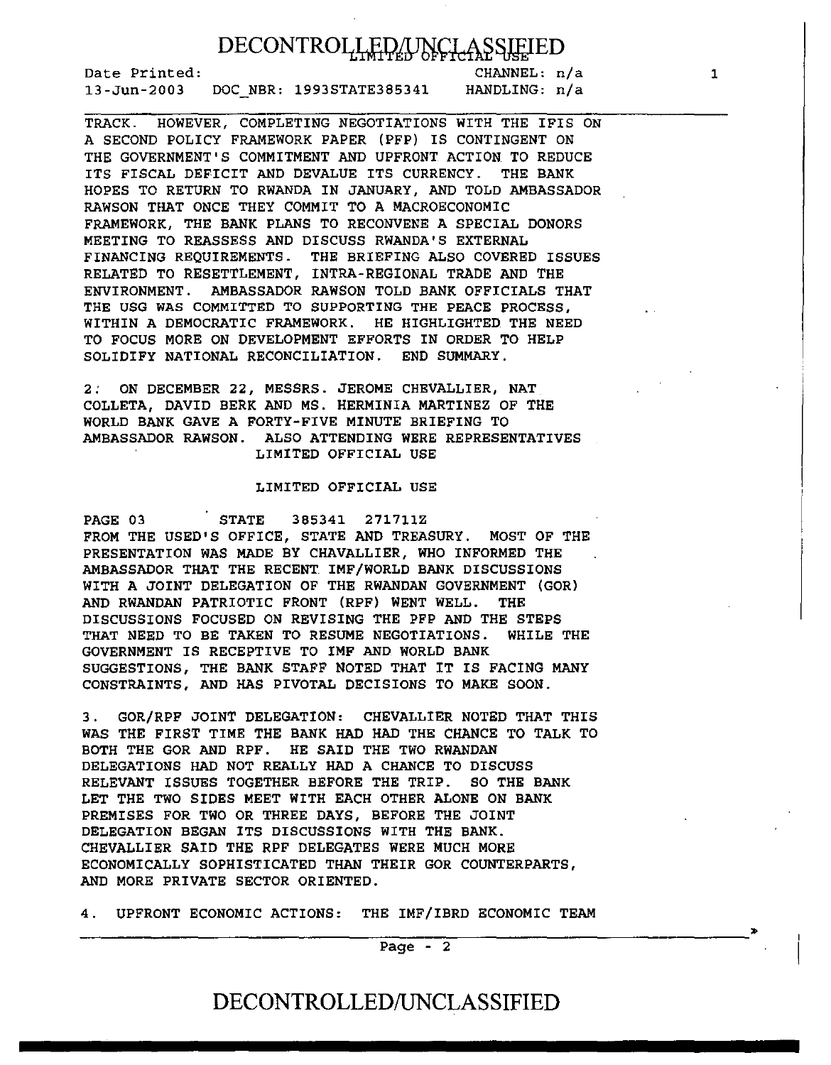# DECONTROLLED/UNCLASSIEIED

Date Printed: 13-Jun-2003 DOC NBR: 1993STATE385341

CHANNEL: n/a HANDLING: n/a

TRACK. HOWEVER, COMPLETING NEGOTIATIONS WITH THE IFIS ON A SECOND POLICY FRAMEWORK PAPER (PFP) IS CONTINGENT ON THE GOVERNMENT'S COMMITMENT AND UPFRONT ACTION TO REDUCE ITS FISCAL DEFICIT AND DEVALUE ITS CURRENCY. THE BANK HOPES TO RETURN TO RWANDA IN JANUARY, AND TOLD AMBASSADOR RAWSON THAT ONCE THEY COMMIT TO A MACROECONOMIC FRAMEWORK, THE BANK PLANS TO RECONVENE A SPECIAL DONORS MEETING TO REASSESS AND DISCUSS RWANDA'S EXTERNAL FINANCING REQUIREMENTS. THE BRIEFING ALSO COVERED ISSUES RELATED TO RESETTLEMENT, INTRA-REGIONAL TRADE AND THE ENVIRONMENT. AMBASSADOR RAWSON TOLD BANK OFFICIALS THAT THE USG WAS COMMITTED TO SUPPORTING THE PEACE PROCESS. WITHIN A DEMOCRATIC FRAMEWORK. HE HIGHLIGHTED THE NEED TO FOCUS MORE ON DEVELOPMENT EFFORTS IN ORDER TO HELP SOLIDIFY NATIONAL RECONCILIATION. END SUMMARY.

2; ON DECEMBER 22, MESSRS. JEROME CHEVALLIER, NAT COLLETA, DAVID BERK AND MS. HERMINIA MARTINEZ OF THE WORLD BANK GAVE A FORTY-FIVE MINUTE BRIEFING TO AMBASSADOR RAWSON. ALSO ATTENDING WERE REPRESENTATIVES LIMITED OFFICIAL USE

### LIMITED OFFICIAL USE

PAGE 03 STATE 385341 271711Z FROM THE USED'S OFFICE, STATE AND TREASURY. MOST OF THE PRESENTATION WAS MADE BY CHAVALLIER, WHO INFORMED THE AMBASSADOR THAT THE RECENT IMF/WORLD BANK DISCUSSIONS WITH A JOINT DELEGATION OF THE RWANDAN GOVERNMENT (GOR) AND RWANDAN PATRIOTIC FRONT (RPF) WENT WELL. THE DISCUSSIONS FOCUSED ON REVISING THE PFP AND THE STEPS THAT NEED TO BE TAKEN TO RESUME NEGOTIATIONS. WHILE THE GOVERNMENT IS RECEPTIVE TO IMF AND. WORLD BANK SUGGESTIONS, THE BANK STAFF NOTED THAT IT IS FACING MANY CONSTRAINTS, AND HAS PIVOTAL DECISIONS TO MAKE SOON.

3. GOR/RPF JOINT DELEGATION: CHEVALLIER NOTED THAT THIS WAS THE FIRST TIME THE BANK HAD HAD THE CHANCE TO TALK TO BOTH THE GOR AND RPF. HE SAID THE TWO RWANDAN DELEGATIONS HAD NOT REALLY HAD A CHANCE TO DISCUSS RELEVANT ISSUES TOGETHER BEFORE THE TRIP. SO THE BANK LET THE TWO SIDES MEET WITH EACH OTHER ALONE ON BANK PREMISES FOR TWO OR THREE DAYS, BEFORE THE JOINT DELEGATION BEGAN ITS DISCUSSIONS WITH THE BANK. CHEVALLIER SAID THE RPF DELEGATES WERE MUCH MORE ECONOMICALLY SOPHISTICATED THAN THEIR GOR COUNTERPARTS, AND MORE PRIVATE SECTOR ORIENTED.

4. UPFRONT ECONOMIC ACTIONS: THE IMF/IBRD ECONOMIC TEAM

--------------------------------~----~~-------------------------------~ Page - 2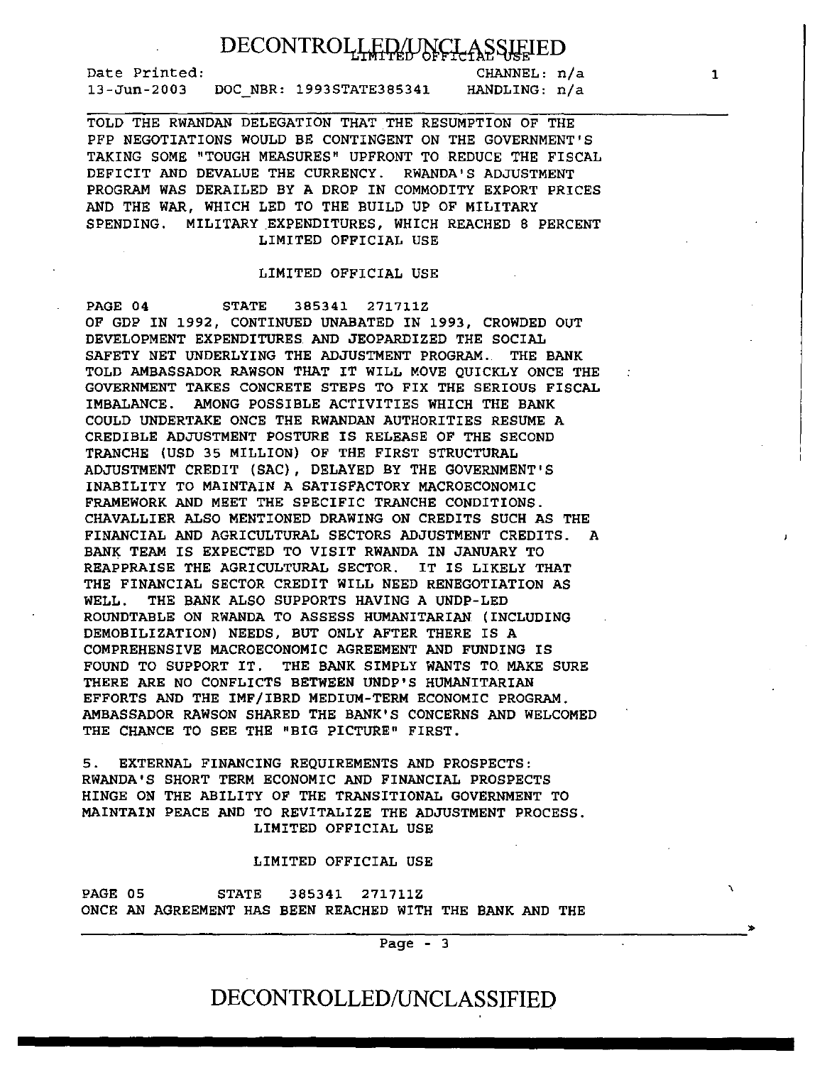Date Printed: 13-Jun-2003 DOC NBR: 1993STATE385341

CHANNEL: n/a HANDLING: n/a

TOLD THE RWANDAN DELEGATION THAT THE RESUMPTION OF THE PFP NEGOTIATIONS WOULD BE CONTINGENT ON THE GOVERNMENT'S TAKING SOME "TOUGH MEASURES" UPFRONT TO REDUCE THE FISCAL DEFICIT AND DEVALUE THE CURRENCY. RWANDA'S ADJUSTMENT PROGRAM WAS DERAILED BY A DROP IN COMMODITY EXPORT PRICES AND THE WAR, WHICH LED TO THE BUILD UP OF MILITARY SPENDING. MILITARY EXPENDITURES, WHICH REACHED 8 PERCENT LIMITED OFFICIAL USE

### LIMITED OFFICIAL USE

PAGE 04 STATE 385341 271711Z OF GDP IN 1992, CONTINUED UNABATED IN 1993, CROWDED OUT DEVELOPMENT EXPENDITURES. AND JEOPARDIZED THE SOCIAL SAFETY NET UNDERLYING THE ADJUSTMENT PROGRAM. THE BANK TOLD AMBASSADOR RAWSON THAT IT WILL MOVE QUICKLY ONCE THE GOVERNMENT TAKES CONCRETE STEPS TO FIX THE SERIOUS FISCAL IMBALANCE. AMONG POSSIBLE ACTIVITIES WHICH THE BANK COULD UNDERTAKE ONCE THE RWANDAN AUTHORITIES RESUME A CREDIBLE ADJUSTMENT POSTURE IS RELEASE OF THE SECOND TRANCHE (USD 35 MILLION) OF THE FIRST STRUCTURAL ADJUSTMENT CREDIT (SAC), DELAYED BY THE GOVERNMENT'S INABILITY TO MAINTAIN A SATISFACTORY MACROECONOMIC FRAMEWORK AND MEET THE SPECIFIC TRANCHE CONDITIONS. CHAVALLIER ALSO MENTIONED DRAWING ON CREDITS SUCH AS THE FINANCIAL AND AGRICULTURAL SECTORS ADJUSTMENT CREDITS. A BANK TEAM IS EXPECTED TO VISIT RWANDA IN JANUARY TO REAPPRAISE THE AGRICULTURAL SECTOR. IT IS LIKELY THAT THE FINANCIAL SECTOR CREDIT WILL NEED RENEGOTIATION AS WELL. THE BANK ALSO SUPPORTS HAVING A UNDP-LED ROUNDTABLE ON RWANDA TO ASSESS HUMANITARIAN (INCLUDING DEMOBILIZATION) NEEDS, BUT ONLY AFTER THERE IS A COMPREHENSIVE MACROECONOMIC AGREEMENT AND FUNDING IS FOUND TO SUPPORT IT. THE BANK SIMPLY WANTS TO MAKE SURE THERE ARE NO CONFLICTS BETWEEN UNDP'S HUMANITARIAN EFFORTS AND THE IMF/IBRD MEDIUM-TERM ECONOMIC PROGRAM. AMBASSADOR RAWSON SHARED THE BANK'S CONCERNS AND WELCOMED THE CHANCE TO SEE THE "BIG PICTURE" FIRST.

5. EXTERNAL FINANCING REQUIREMENTS AND PROSPECTS: RWANDA'S SHORT TERM ECONOMIC AND FINANCIAL PROSPECTS HINGE ON THE ABILITY OF THE TRANSITIONAL GOVERNMENT TO MAINTAIN PEACE AND TO REVITALIZE THE ADJUSTMENT PROCESS. LIMITED OFFICIAL USE

### LIMITED OFFICIAL USE

PAGE 05 STATE 385341 271711Z ONCE AN AGREEMENT HAS BEEN REACHED WITH THE BANK AND THE

Page - 3

## DECONTROLLED/UNCLASSIFIED

1